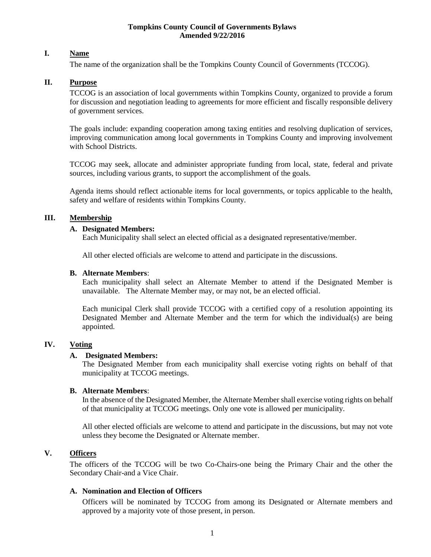#### **Tompkins County Council of Governments Bylaws Amended 9/22/2016**

# **I. Name**

The name of the organization shall be the Tompkins County Council of Governments (TCCOG).

# **II. Purpose**

TCCOG is an association of local governments within Tompkins County, organized to provide a forum for discussion and negotiation leading to agreements for more efficient and fiscally responsible delivery of government services.

The goals include: expanding cooperation among taxing entities and resolving duplication of services, improving communication among local governments in Tompkins County and improving involvement with School Districts.

TCCOG may seek, allocate and administer appropriate funding from local, state, federal and private sources, including various grants, to support the accomplishment of the goals.

Agenda items should reflect actionable items for local governments, or topics applicable to the health, safety and welfare of residents within Tompkins County.

### **III. Membership**

# **A. Designated Members:**

Each Municipality shall select an elected official as a designated representative/member.

All other elected officials are welcome to attend and participate in the discussions.

#### **B. Alternate Members**:

Each municipality shall select an Alternate Member to attend if the Designated Member is unavailable. The Alternate Member may, or may not, be an elected official.

Each municipal Clerk shall provide TCCOG with a certified copy of a resolution appointing its Designated Member and Alternate Member and the term for which the individual(s) are being appointed.

### **IV. Voting**

### **A. Designated Members:**

The Designated Member from each municipality shall exercise voting rights on behalf of that municipality at TCCOG meetings.

### **B. Alternate Members**:

In the absence of the Designated Member, the Alternate Member shall exercise voting rights on behalf of that municipality at TCCOG meetings. Only one vote is allowed per municipality.

All other elected officials are welcome to attend and participate in the discussions, but may not vote unless they become the Designated or Alternate member.

# **V. Officers**

The officers of the TCCOG will be two Co-Chairs-one being the Primary Chair and the other the Secondary Chair-and a Vice Chair.

### **A. Nomination and Election of Officers**

Officers will be nominated by TCCOG from among its Designated or Alternate members and approved by a majority vote of those present, in person.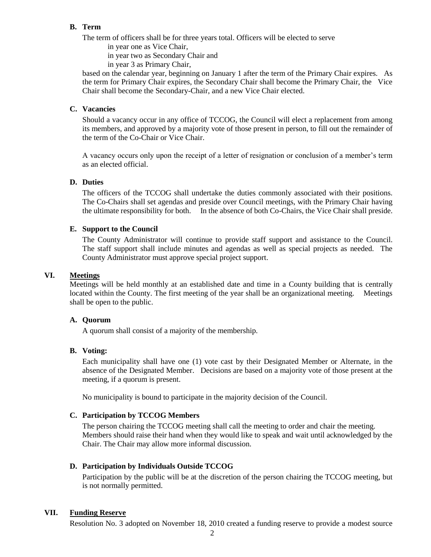# **B. Term**

The term of officers shall be for three years total. Officers will be elected to serve

in year one as Vice Chair,

in year two as Secondary Chair and

in year 3 as Primary Chair,

based on the calendar year, beginning on January 1 after the term of the Primary Chair expires. As the term for Primary Chair expires, the Secondary Chair shall become the Primary Chair, the Vice Chair shall become the Secondary-Chair, and a new Vice Chair elected.

# **C. Vacancies**

Should a vacancy occur in any office of TCCOG, the Council will elect a replacement from among its members, and approved by a majority vote of those present in person, to fill out the remainder of the term of the Co-Chair or Vice Chair.

A vacancy occurs only upon the receipt of a letter of resignation or conclusion of a member's term as an elected official.

# **D. Duties**

The officers of the TCCOG shall undertake the duties commonly associated with their positions. The Co-Chairs shall set agendas and preside over Council meetings, with the Primary Chair having the ultimate responsibility for both. In the absence of both Co-Chairs, the Vice Chair shall preside.

### **E. Support to the Council**

The County Administrator will continue to provide staff support and assistance to the Council. The staff support shall include minutes and agendas as well as special projects as needed. The County Administrator must approve special project support.

# **VI. Meetings**

Meetings will be held monthly at an established date and time in a County building that is centrally located within the County. The first meeting of the year shall be an organizational meeting. Meetings shall be open to the public.

### **A. Quorum**

A quorum shall consist of a majority of the membership.

### **B. Voting:**

Each municipality shall have one (1) vote cast by their Designated Member or Alternate, in the absence of the Designated Member. Decisions are based on a majority vote of those present at the meeting, if a quorum is present.

No municipality is bound to participate in the majority decision of the Council.

# **C. Participation by TCCOG Members**

The person chairing the TCCOG meeting shall call the meeting to order and chair the meeting. Members should raise their hand when they would like to speak and wait until acknowledged by the Chair. The Chair may allow more informal discussion.

### **D. Participation by Individuals Outside TCCOG**

Participation by the public will be at the discretion of the person chairing the TCCOG meeting, but is not normally permitted.

# **VII. Funding Reserve**

Resolution No. 3 adopted on November 18, 2010 created a funding reserve to provide a modest source